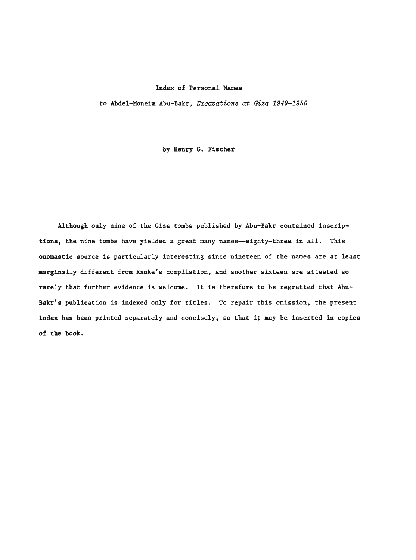to Abdel-Moneim Abu-Bakr, *Excavations* **at** Gisa **1949-1950** 

by Henry G. Fischer

Although only nine of the Giza tombs published by Abu-Bakr contained inscrip**tions,** the nine tombs have yielded a great many names~eighty-three in all. This onomastic source is particularly interesting since nineteen of the names are at least marginally different from Ranke's compilation, and another sixteen are attested so rarely that further evidence is welcome. It is therefore to be regretted that Abu-Bakr's publication is indexed only for titles. To repair this omission, the present index has been printed separately and concisely, so that it may be inserted **in** copies of the book.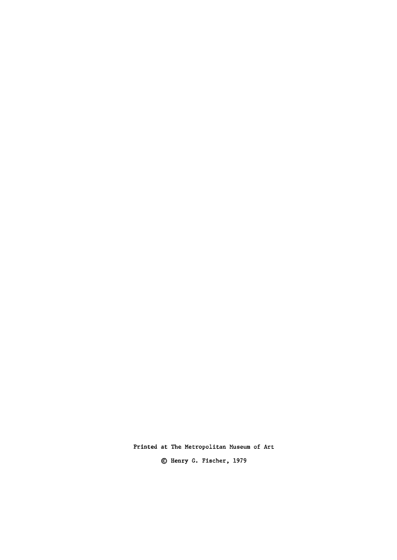**Printed at The Metropolitan Museum of Art**  @ **Henry G. Fischer, 1979**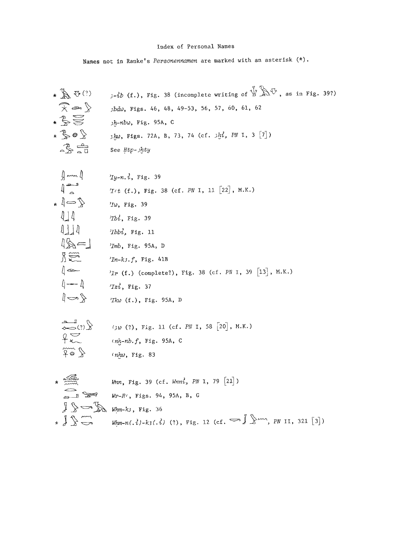Names not in Ranke's Personennamen are marked with an asterisk  $(*)$ .

\* 
$$
\sqrt{2}
$$
,  $\sqrt{3}$  (7)  $\sqrt{3}$  (1, 1, 1, 38) (incomplete writing of  $\sqrt{2}$  for 1, as in Fig. 39?)  
\n\*  $\frac{1}{2}$  and  $\frac{1}{2}$  if  $\frac{1}{2}$ ,  $\frac{1}{2}$  if  $\frac{1}{2}$ ,  $\frac{1}{2}$  if  $\frac{1}{2}$ ,  $\frac{1}{2}$  if  $\frac{1}{2}$ ,  $\frac{1}{2}$  if  $\frac{1}{2}$ ,  $\frac{1}{2}$  if  $\frac{1}{2}$ ,  $\frac{1}{2}$  if  $\frac{1}{2}$ ,  $\frac{1}{2}$  if  $\frac{1}{2}$ ,  $\frac{1}{2}$  if  $\frac{1}{2}$  if  $\frac{1}{2}$  if  $\frac{1}{2}$  if  $\frac{1}{2}$  if  $\frac{1}{2}$  if  $\frac{1}{2}$  if  $\frac{1}{2}$  if  $\frac{1}{2}$  if  $\frac{1}{2}$  if  $\frac{1}{2}$  if  $\frac{1}{2}$  if  $\frac{1}{2}$  if  $\frac{1}{2}$  if  $\frac{1}{2}$  if  $\frac{1}{2}$  if  $\frac{1}{2}$  if  $\frac{1}{2}$  if  $\frac{1}{2}$  if  $\frac{1}{2}$  if  $\frac{1}{2}$  if  $\frac{1}{2}$  if  $\frac{1}{2}$  if  $\frac{1}{2}$  if  $\frac{1}{2}$  if  $\frac{1}{2}$  if  $\frac{1}{2}$  if  $\frac{1}{2}$  if  $\frac{1}{2}$  if  $\frac{1}{2}$  if  $\frac{1}{2}$  if  $\frac{1}{2}$  if  $\frac{1}{2}$  if  $\frac{1}{2}$  if  $\frac{1}{2}$  if  $\frac{1}{2}$  if  $\frac{1}{2}$  if  $\frac{1}{2}$  if  $\frac{1}{2}$  if  $\frac{1}{2}$  if  $\frac{1}{2}$  if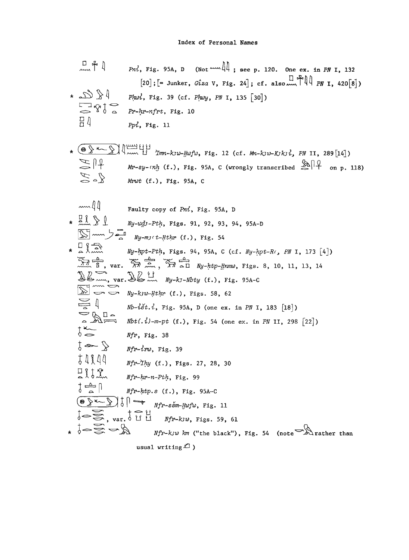$$
\begin{array}{ll}\n\Box \uparrow \downarrow & \text{Pri, Fig. 95A, D (Not-1) } \\
\hline\n&= \Box \uparrow \downarrow \downarrow & \text{Pri, Fig. 95A, D (Not-2) } \\
&= \Box \uparrow \downarrow \downarrow & \text{Pri, Fig. 39 (cf. Plwy, FN I, 135 [30])} \\
&= \Box \uparrow \uparrow \downarrow & \text{Pri, Fig. 39 (cf. Plwy, FN I, 135 [30])} \\
&= \Box \uparrow \uparrow \downarrow & \text{Pri, Fig. 39 (cf. Plwy, FN I, 135 [30])} \\
&= \Box \uparrow \uparrow & \text{Pri, Fig. 11}\n\end{array}
$$
\n
$$
\star \bigotimes_{\text{Pri} \downarrow} \uparrow \downarrow \downarrow & \text{Im} \downarrow \downarrow \downarrow & \text{Im} \downarrow \downarrow \downarrow \downarrow \\
\downarrow \uparrow \uparrow \uparrow \downarrow & \text{Im} \downarrow \downarrow & \text{Im} \downarrow \downarrow & \text{Im} \downarrow \downarrow \\
\downarrow \downarrow & \text{Im} \downarrow \downarrow & \text{Im} \downarrow \downarrow & \text{Im} \downarrow \\
\downarrow \downarrow & \text{Im} \downarrow & \text{Im} \downarrow & \text{Im} \downarrow \\
\downarrow \downarrow & \text{Im} \downarrow & \text{Im} \downarrow & \text{Im} \downarrow \\
\downarrow \downarrow & \text{Im} \downarrow & \text{Im} \downarrow & \text{Im} \downarrow \\
\downarrow \downarrow & \text{Im} \downarrow & \text{Im} \downarrow & \text{Im} \downarrow \\
\downarrow \downarrow & \text{Im} \downarrow & \text{Im} \downarrow \\
\downarrow \downarrow & \text{Im} \downarrow & \text{Im} \downarrow \\
\downarrow \downarrow & \text{Im} \downarrow & \text{Im} \downarrow \\
\downarrow \downarrow & \text{Im} \downarrow & \text{Im} \downarrow \\
\downarrow \downarrow & \text{Im} \downarrow & \text{Im} \downarrow \\
\downarrow \downarrow & \text{Im} \downarrow & \text{Im} \downarrow \\
\downarrow \downarrow & \text{Im} \downarrow & \text{Im} \downarrow \\
\downarrow \downarrow & \text{Im} \downarrow & \text{Im} \downarrow \\
\downarrow
$$

usual writing  $\mathcal D$  )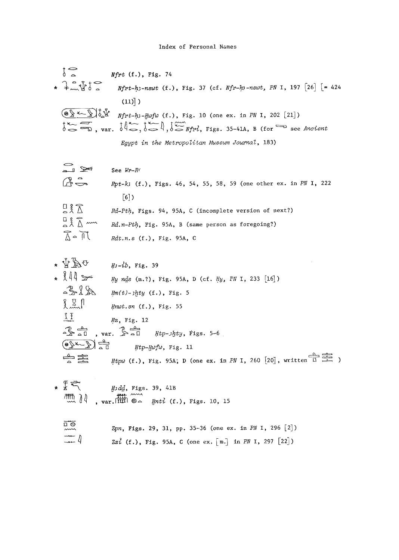$$
\begin{array}{ll}\n\downarrow & \uparrow & \uparrow \\
\downarrow & \downarrow & \uparrow \\
\star & \downarrow & \uparrow \\
\star & \downarrow & \uparrow \\
\downarrow & \downarrow & \uparrow \\
\downarrow & \downarrow & \uparrow \\
\downarrow & \downarrow & \uparrow \\
\downarrow & \downarrow & \uparrow \\
\downarrow & \downarrow & \downarrow \\
\downarrow & \downarrow & \downarrow \\
\downarrow & \downarrow & \downarrow \\
\downarrow & \downarrow & \downarrow \\
\downarrow & \downarrow & \downarrow \\
\downarrow & \downarrow & \downarrow \\
\downarrow & \downarrow & \downarrow \\
\downarrow & \downarrow & \downarrow \\
\downarrow & \downarrow & \downarrow \\
\downarrow & \downarrow & \downarrow \\
\downarrow & \downarrow & \downarrow \\
\downarrow & \downarrow & \downarrow \\
\downarrow & \downarrow & \downarrow \\
\downarrow & \downarrow & \downarrow \\
\downarrow & \downarrow & \downarrow \\
\downarrow & \downarrow & \downarrow \\
\downarrow & \downarrow & \downarrow \\
\downarrow & \downarrow & \downarrow \\
\downarrow & \downarrow & \downarrow \\
\downarrow & \downarrow & \downarrow \\
\downarrow & \downarrow & \downarrow \\
\downarrow & \downarrow & \downarrow \\
\downarrow & \downarrow & \downarrow \\
\downarrow & \downarrow & \downarrow \\
\downarrow & \downarrow & \downarrow \\
\downarrow & \downarrow & \downarrow \\
\downarrow & \downarrow & \downarrow \\
\downarrow & \downarrow & \downarrow \\
\downarrow & \downarrow & \downarrow \\
\downarrow & \downarrow & \downarrow \\
\downarrow & \downarrow & \downarrow \\
\downarrow & \downarrow & \downarrow \\
\downarrow & \downarrow & \downarrow \\
\downarrow & \downarrow & \downarrow \\
\downarrow & \downarrow & \downarrow \\
\downarrow & \downarrow & \downarrow \\
\downarrow & \downarrow & \downarrow \\
\downarrow & \downarrow & \downarrow \\
\downarrow & \downarrow & \downarrow \\
\downarrow & \downarrow & \downarrow \\
\downarrow & \downarrow & \downarrow \\
\downarrow & \downarrow & \downarrow \\
\downarrow & \downarrow & \downarrow \\
\downarrow & \downarrow & \downarrow \\
\downarrow & \downarrow & \downarrow \\
\downarrow & \downarrow & \downarrow \\
\downarrow & \downarrow & \downarrow \\
\downarrow & \downarrow & \downarrow \\
\downarrow & \downarrow & \downarrow \\
\downarrow & \downarrow & \downarrow \\
\downarrow & \downarrow & \downarrow \\
\downarrow & \downarrow & \downarrow \\
\downarrow & \downarrow & \downarrow \\
\downarrow & \downarrow & \downarrow \\
\downarrow & \downarrow & \down
$$



| $\sum_{n=1}^{\infty}$                       | See $Wr-RC$                                                       |
|---------------------------------------------|-------------------------------------------------------------------|
| $A -$                                       | Rpt-k3 (f.), Figs. 46, 54, 55, 58, 59 (one other ex. in PN I, 222 |
|                                             | $\lceil 6 \rceil$                                                 |
| $R_{\rm A}$                                 | Rd-Pth, Figs. 94, 95A, C (incomplete version of next?)            |
| $\frac{D}{\alpha}$ $\frac{2}{\Lambda}$ mm   | Rd.n-Pth, Fig. 95A, B (same person as foregoing?)                 |
| $\bigwedge^{\infty}$ o $\bigwedge^{\infty}$ | $Rdt.n.s$ (f.), Fig. 95A, C                                       |

$$
\begin{array}{ll}\n\star \sqrt[4]{\mathbb{A} \mathbb{B}} & \text{if } \mathbb{B} \cdot ib, \text{ Fig. 39} \\
\star \sqrt[3]{\mathbb{A}} & \text{if } \mathbb{B} \text{ and } (\mathbb{m}.?) \text{ Fig. 95A, D (cf. \n, by, PN I, 233 [16])} \\
\hline\n& \uparrow \mathbb{B} \text{ and } \mathbb{B} \text{ and } (\mathbb{m}.') \cdot \mathbb{B} \text{ by (f.), Fig. 5}\n\end{array}
$$
\n
$$
\begin{array}{ll}\n\downarrow \text{if } \mathbb{B} \text{ and } \mathbb{B} \text{ and } (\mathbb{m}.') \text{ by (f.), Fig. 5}\n\end{array}
$$
\n
$$
\begin{array}{ll}\n\downarrow \text{if } \mathbb{B} \text{ and } \mathbb{B} \text{ and } (\mathbb{m}.') \text{ by (f.), Fig. 5}\n\end{array}
$$
\n
$$
\begin{array}{ll}\n\downarrow \text{if } \mathbb{B} \text{ and } \mathbb{B} \text{ and } \mathbb{B} \text{ and } \mathbb{B} \text{ and } \mathbb{B} \text{ and } \mathbb{B} \text{ and } \mathbb{B} \text{ and } \mathbb{B} \text{ and } \mathbb{B} \text{ and } \mathbb{B} \text{ and } \mathbb{B} \text{ and } \mathbb{B} \text{ and } \mathbb{B} \text{ and } \mathbb{B} \text{ and } \mathbb{B} \text{ and } \mathbb{B} \text{ and } \mathbb{B} \text{ and } \mathbb{B} \text{ and } \mathbb{B} \text{ and } \mathbb{B} \text{ and } \mathbb{B} \text{ and } \mathbb{B} \text{ and } \mathbb{B} \text{ and } \mathbb{B} \text{ and } \mathbb{B} \text{ and } \mathbb{B} \text{ and } \mathbb{B} \text{ and } \mathbb{B} \text{ and } \mathbb{B} \text{ and } \mathbb{B} \text{ and } \mathbb{B} \text{ and } \mathbb{B} \text{ and } \mathbb{B} \text{ and } \mathbb{B} \text{ and } \mathbb{B} \text{ and } \mathbb{B} \text{ and } \mathbb{B
$$

 $\begin{array}{rcl}\n & \circ & \circ & \circ & \circ \\
 & \circ & \circ & \circ \\
 & \circ & \circ & \circ \\
 & \circ & \circ & \circ \\
 & \circ & \circ & \circ \\
 & \circ & \circ & \circ \\
 & \circ & \circ & \circ \\
 & \circ & \circ & \circ \\
 & \circ & \circ & \circ \\
 & \circ & \circ & \circ\n\end{array}$  $\overline{u}$  , var.  $\overline{u}$   $\overline{u}$  ,  $\overline{u}$  ,  $\overline{u}$  ,  $\overline{u}$  ,  $\overline{u}$  ,  $\overline{u}$  ,  $\overline{u}$  ,  $\overline{u}$  ,  $\overline{u}$  ,  $\overline{u}$  ,  $\overline{u}$  ,  $\overline{u}$  ,  $\overline{u}$  ,  $\overline{u}$  ,  $\overline{u}$  ,  $\overline{u}$  ,  $\overline{u}$  ,  $\overline{u}$ 

|                          | $\lim_{M \to \infty} \iint$ var. $\lim_{M \to \infty} \Theta \sim \text{ynti}$ (f.), Figs. 10, 15 |
|--------------------------|---------------------------------------------------------------------------------------------------|
| $\overline{a}$<br>$\sim$ | Zpn, Figs. 29, 31, pp. 35-36 (one ex. in PN I, 296 $[2]$ )                                        |
| $\overline{\phantom{a}}$ | $2z'$ (f.), Fig. 95A, C (one ex. [m.] in PN I, 297 [22])                                          |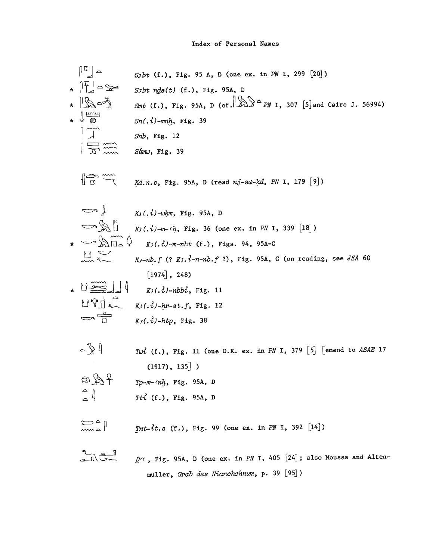$$
\begin{array}{ll}\n\begin{bmatrix}\n11 \\
11\n\end{bmatrix} = \n\begin{bmatrix}\n5 \text{ bit (f.), Fig. 95 A, D (one ex. in P/N I, 299 [20])}\n\end{bmatrix} \\
+ \begin{bmatrix}\n\frac{1}{11} & -\frac{1}{2} & -\frac{1}{2} & \frac{1}{2} & \frac{1}{2} & \frac{1}{2} & \frac{1}{2} & \frac{1}{2} & \frac{1}{2} & \frac{1}{2} & \frac{1}{2} & \frac{1}{2} & \frac{1}{2} & \frac{1}{2} & \frac{1}{2} & \frac{1}{2} & \frac{1}{2} & \frac{1}{2} & \frac{1}{2} & \frac{1}{2} & \frac{1}{2} & \frac{1}{2} & \frac{1}{2} & \frac{1}{2} & \frac{1}{2} & \frac{1}{2} & \frac{1}{2} & \frac{1}{2} & \frac{1}{2} & \frac{1}{2} & \frac{1}{2} & \frac{1}{2} & \frac{1}{2} & \frac{1}{2} & \frac{1}{2} & \frac{1}{2} & \frac{1}{2} & \frac{1}{2} & \frac{1}{2} & \frac{1}{2} & \frac{1}{2} & \frac{1}{2} & \frac{1}{2} & \frac{1}{2} & \frac{1}{2} & \frac{1}{2} & \frac{1}{2} & \frac{1}{2} & \frac{1}{2} & \frac{1}{2} & \frac{1}{2} & \frac{1}{2} & \frac{1}{2} & \frac{1}{2} & \frac{1}{2} & \frac{1}{2} & \frac{1}{2} & \frac{1}{2} & \frac{1}{2} & \frac{1}{2} & \frac{1}{2} & \frac{1}{2} & \frac{1}{2} & \frac{1}{2} & \frac{1}{2} & \frac{1}{2} & \frac{1}{2} &
$$